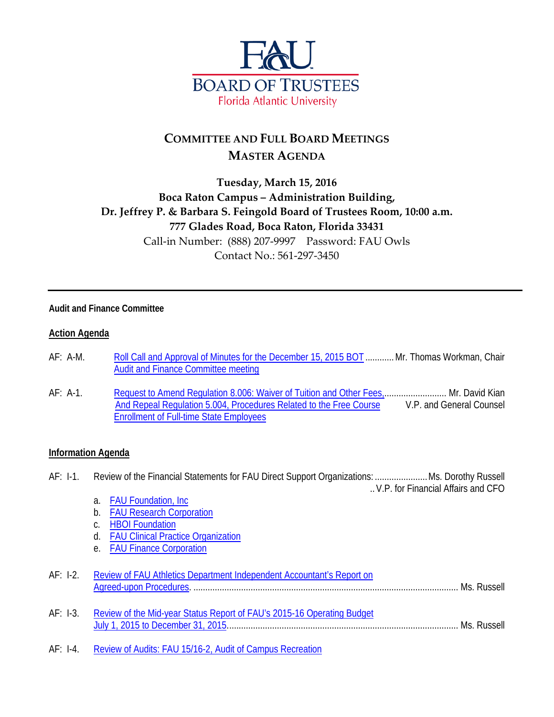

# **COMMITTEE AND FULL BOARD MEETINGS MASTER AGENDA**

### **Tuesday, March 15, 2016 Boca Raton Campus – Administration Building, Dr. Jeffrey P. & Barbara S. Feingold Board of Trustees Room, 10:00 a.m. 777 Glades Road, Boca Raton, Florida 33431** Call-in Number: (888) 207-9997 Password: FAU Owls Contact No.: 561-297-3450

#### **Audit and Finance Committee**

#### **Action Agenda**

- AF: A-M. [Roll Call and Approval of Minutes for the December 15, 2015 BOT](http://www.fau.edu/bot/meetings/03152016/audit/afam.pdf) ............Mr. Thomas Workman, Chair [Audit and Finance Committee meeting](http://www.fau.edu/bot/meetings/03152016/audit/afam.pdf)
- AF: A-1. Request to Amend Requiation 8.006: Waiver of Tuition and Other Fees,........................... Mr. David Kian [And Repeal Regulation 5.004, Procedures Related to the Free Course](http://www.fau.edu/bot/meetings/03152016/audit/afa1.pdf) V.P. and General Counsel [Enrollment of Full-time State Employees](http://www.fau.edu/bot/meetings/03152016/audit/afa1.pdf)

#### **Information Agenda**

- AF: I-1. Review of the Financial Statements for FAU Direct Support Organizations: ......................Ms. Dorothy Russell ..V.P. for Financial Affairs and CFO
	- a. [FAU Foundation, Inc](http://www.fau.edu/bot/meetings/03152016/audit/afi1a.pdf)
	- b. [FAU Research Corporation](http://www.fau.edu/bot/meetings/03152016/audit/afi1b.pdf)
	- c. [HBOI Foundation](http://www.fau.edu/bot/meetings/03152016/audit/afi1c.pdf)
	- d. [FAU Clinical Practice Organization](http://www.fau.edu/bot/meetings/03152016/audit/afi1d.pdf)
	- e. [FAU Finance Corporation](http://www.fau.edu/bot/meetings/03152016/audit/afi1e.pdf)

| AF: I-2. Review of FAU Athletics Department Independent Accountant's Report on |  |
|--------------------------------------------------------------------------------|--|
|                                                                                |  |
|                                                                                |  |
| _ . _                                                                          |  |

- AF: I-3. [Review of the Mid-year Status Report of FAU's 2015-16 Operating Budget](http://www.fau.edu/bot/meetings/03152016/audit/afi3.pdf) [July 1, 2015 to December 31, 2015.](http://www.fau.edu/bot/meetings/03152016/audit/afi3.pdf)................................................................................................ Ms. Russell
- AF: I-4. [Review of Audits: FAU 15/16-2, Audit of Campus Recreation](http://www.fau.edu/bot/meetings/03152016/audit/afi4.pdf)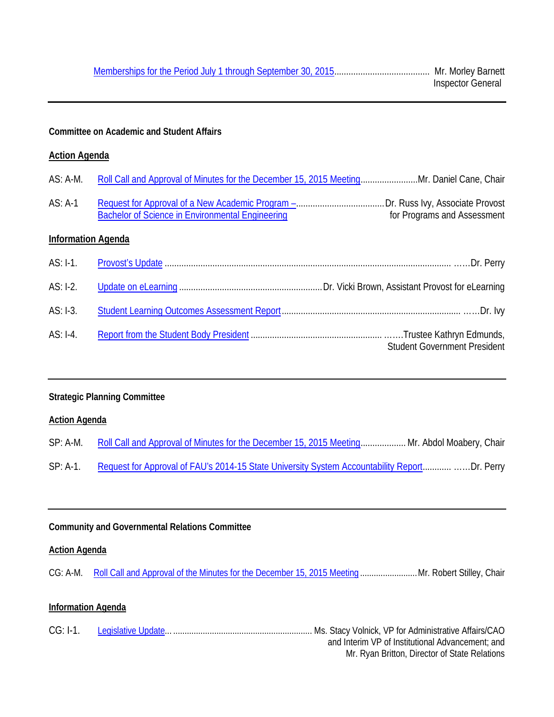### **Committee on Academic and Student Affairs**

#### **Action Agenda**

AS: A-1 [Request for Approval of a New Academic Program –.](http://www.fau.edu/bot/meetings/03152016/casa/as.a1.pdf)....................................Dr. Russ Ivy, Associate Provost [Bachelor of Science in Environmental Engineering](http://www.fau.edu/bot/meetings/03152016/casa/as.a1.pdf)

### **Information Agenda**

| $AS: I-3.$ |                                     |
|------------|-------------------------------------|
| $AS: I-4.$ | <b>Student Government President</b> |

#### **Strategic Planning Committee**

#### **Action Agenda**

|          | SP: A-M. Roll Call and Approval of Minutes for the December 15, 2015 Meeting Mr. Abdol Moabery, Chair |
|----------|-------------------------------------------------------------------------------------------------------|
| SP: A-1. | Request for Approval of FAU's 2014-15 State University System Accountability ReportDr. Perry          |

#### **Community and Governmental Relations Committee**

#### **Action Agenda**

CG: A-M. [Roll Call and Approval of the Minutes for the December](http://www.fau.edu/bot/meetings/03152016/cg/cg.am.pdf) 15, 2015 Meeting ........................... Mr. Robert Stilley, Chair

#### **Information Agenda**

| $CG: I-1.$ |  |                                                  |
|------------|--|--------------------------------------------------|
|            |  | and Interim VP of Institutional Advancement; and |
|            |  | Mr. Ryan Britton, Director of State Relations    |